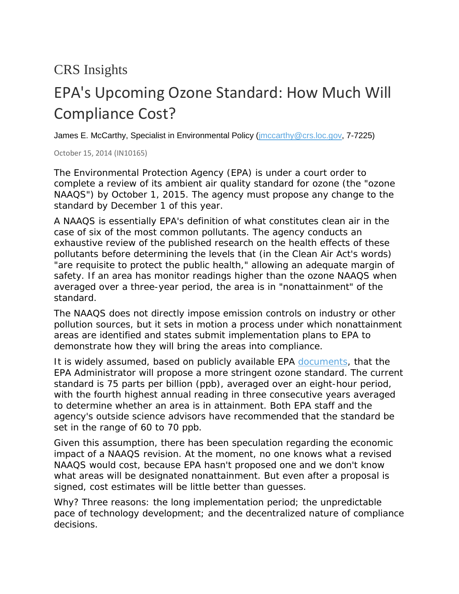## CRS Insights

## EPA's Upcoming Ozone Standard: How Much Will Compliance Cost?

James E. McCarthy, Specialist in Environmental Policy (*jmccarthy@crs.loc.gov, 7-7225*)

October 15, 2014 (IN10165)

The Environmental Protection Agency (EPA) is under a court order to complete a review of its ambient air quality standard for ozone (the "ozone NAAQS") by October 1, 2015. The agency must *propose* any change to the standard by December 1 of this year.

A NAAQS is essentially EPA's definition of what constitutes clean air in the case of six of the most common pollutants. The agency conducts an exhaustive review of the published research on the health effects of these pollutants before determining the levels that (in the Clean Air Act's words) "are requisite to protect the public health," allowing an adequate margin of safety. If an area has monitor readings higher than the ozone NAAQS when averaged over a three-year period, the area is in "nonattainment" of the standard.

The NAAQS does not directly impose emission controls on industry or other pollution sources, but it sets in motion a process under which nonattainment areas are identified and states submit implementation plans to EPA to demonstrate how they will bring the areas into compliance.

It is widely assumed, based on publicly available EPA [documents,](http://www.epa.gov/ttn/naaqs/standards/ozone/data/20140829pa.pdf) that the EPA Administrator will propose a more stringent ozone standard. The current standard is 75 parts per billion (ppb), averaged over an eight-hour period, with the fourth highest annual reading in three consecutive years averaged to determine whether an area is in attainment. Both EPA staff and the agency's outside science advisors have recommended that the standard be set in the range of 60 to 70 ppb.

Given this assumption, there has been speculation regarding the economic impact of a NAAQS revision. At the moment, no one knows what a revised NAAQS would cost, because EPA hasn't proposed one and we don't know what areas will be designated nonattainment. But even after a proposal is signed, cost estimates will be little better than guesses.

Why? Three reasons: the long implementation period; the unpredictable pace of technology development; and the decentralized nature of compliance decisions.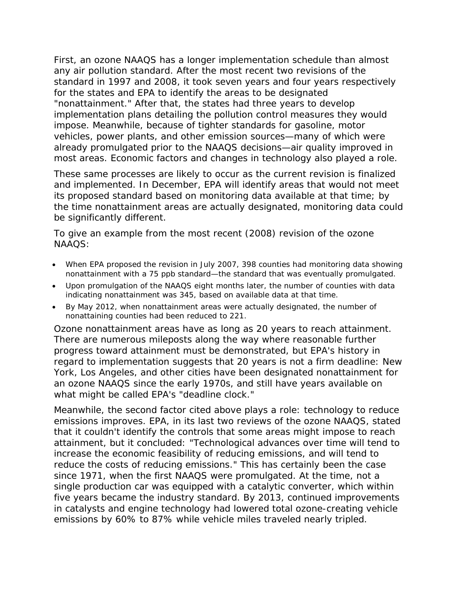First, an ozone NAAQS has a longer implementation schedule than almost any air pollution standard. After the most recent two revisions of the standard in 1997 and 2008, it took seven years and four years respectively for the states and EPA to identify the areas to be designated "nonattainment." After that, the states had three years to develop implementation plans detailing the pollution control measures they would impose. Meanwhile, because of tighter standards for gasoline, motor vehicles, power plants, and other emission sources—many of which were already promulgated prior to the NAAQS decisions—air quality improved in most areas. Economic factors and changes in technology also played a role.

These same processes are likely to occur as the current revision is finalized and implemented. In December, EPA will identify areas that would not meet its proposed standard based on monitoring data available at that time; by the time nonattainment areas are actually designated, monitoring data could be significantly different.

To give an example from the most recent (2008) revision of the ozone NAAQS:

- When EPA proposed the revision in July 2007, 398 counties had monitoring data showing nonattainment with a 75 ppb standard—the standard that was eventually promulgated.
- Upon promulgation of the NAAQS eight months later, the number of counties with data indicating nonattainment was 345, based on available data at that time.
- By May 2012, when nonattainment areas were actually designated, the number of nonattaining counties had been reduced to 221.

Ozone nonattainment areas have as long as 20 years to reach attainment. There are numerous mileposts along the way where reasonable further progress toward attainment must be demonstrated, but EPA's history in regard to implementation suggests that 20 years is not a firm deadline: New York, Los Angeles, and other cities have been designated nonattainment for an ozone NAAQS since the early 1970s, and still have years available on what might be called EPA's "deadline clock."

Meanwhile, the second factor cited above plays a role: technology to reduce emissions improves. EPA, in its last two reviews of the ozone NAAQS, stated that it couldn't identify the controls that some areas might impose to reach attainment, but it concluded: "Technological advances over time will tend to increase the economic feasibility of reducing emissions, and will tend to reduce the costs of reducing emissions." This has certainly been the case since 1971, when the first NAAQS were promulgated. At the time, not a single production car was equipped with a catalytic converter, which within five years became the industry standard. By 2013, continued improvements in catalysts and engine technology had lowered total ozone-creating vehicle emissions by 60% to 87% while vehicle miles traveled nearly tripled.